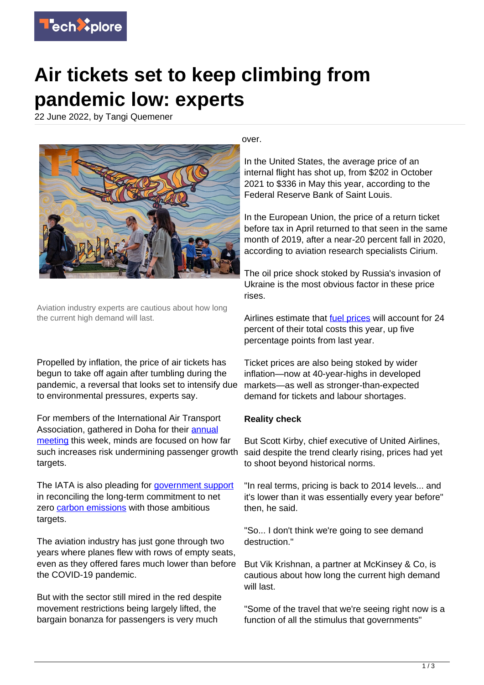

## **Air tickets set to keep climbing from pandemic low: experts**

22 June 2022, by Tangi Quemener



Aviation industry experts are cautious about how long the current high demand will last.

Propelled by inflation, the price of air tickets has begun to take off again after tumbling during the pandemic, a reversal that looks set to intensify due to environmental pressures, experts say.

For members of the International Air Transport Association, gathered in Doha for their [annual](https://techxplore.com/tags/annual+meeting/) [meeting](https://techxplore.com/tags/annual+meeting/) this week, minds are focused on how far such increases risk undermining passenger growth targets.

The IATA is also pleading for [government support](https://techxplore.com/tags/government+support/) in reconciling the long-term commitment to net zero [carbon emissions](https://techxplore.com/tags/carbon+emissions/) with those ambitious targets.

The aviation industry has just gone through two years where planes flew with rows of empty seats, even as they offered fares much lower than before the COVID-19 pandemic.

But with the sector still mired in the red despite movement restrictions being largely lifted, the bargain bonanza for passengers is very much

over.

In the United States, the average price of an internal flight has shot up, from \$202 in October 2021 to \$336 in May this year, according to the Federal Reserve Bank of Saint Louis.

In the European Union, the price of a return ticket before tax in April returned to that seen in the same month of 2019, after a near-20 percent fall in 2020, according to aviation research specialists Cirium.

The oil price shock stoked by Russia's invasion of Ukraine is the most obvious factor in these price rises.

Airlines estimate that **fuel prices** will account for 24 percent of their total costs this year, up five percentage points from last year.

Ticket prices are also being stoked by wider inflation—now at 40-year-highs in developed markets—as well as stronger-than-expected demand for tickets and labour shortages.

## **Reality check**

But Scott Kirby, chief executive of United Airlines, said despite the trend clearly rising, prices had yet to shoot beyond historical norms.

"In real terms, pricing is back to 2014 levels... and it's lower than it was essentially every year before" then, he said.

"So... I don't think we're going to see demand destruction."

But Vik Krishnan, a partner at McKinsey & Co, is cautious about how long the current high demand will last.

"Some of the travel that we're seeing right now is a function of all the stimulus that governments"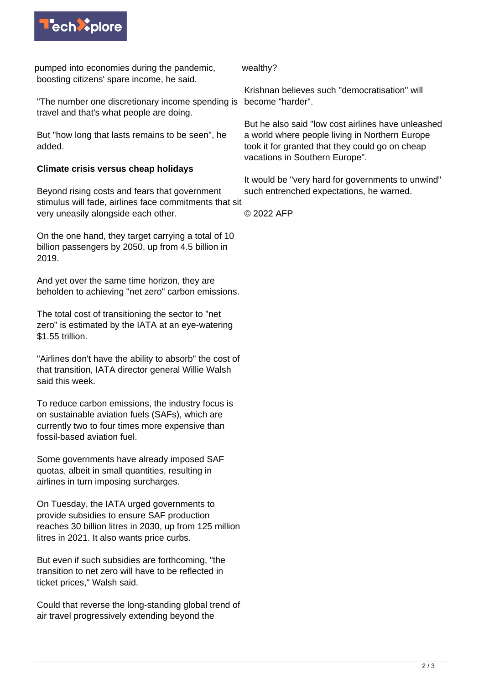

pumped into economies during the pandemic, boosting citizens' spare income, he said.

"The number one discretionary income spending is become "harder". travel and that's what people are doing.

But "how long that lasts remains to be seen", he added.

## **Climate crisis versus cheap holidays**

Beyond rising costs and fears that government stimulus will fade, airlines face commitments that sit very uneasily alongside each other.

On the one hand, they target carrying a total of 10 billion passengers by 2050, up from 4.5 billion in 2019.

And yet over the same time horizon, they are beholden to achieving "net zero" carbon emissions.

The total cost of transitioning the sector to "net zero" is estimated by the IATA at an eve-watering \$1.55 trillion.

"Airlines don't have the ability to absorb" the cost of that transition, IATA director general Willie Walsh said this week.

To reduce carbon emissions, the industry focus is on sustainable aviation fuels (SAFs), which are currently two to four times more expensive than fossil-based aviation fuel.

Some governments have already imposed SAF quotas, albeit in small quantities, resulting in airlines in turn imposing surcharges.

On Tuesday, the IATA urged governments to provide subsidies to ensure SAF production reaches 30 billion litres in 2030, up from 125 million litres in 2021. It also wants price curbs.

But even if such subsidies are forthcoming, "the transition to net zero will have to be reflected in ticket prices," Walsh said.

Could that reverse the long-standing global trend of air travel progressively extending beyond the

wealthy?

Krishnan believes such "democratisation" will

But he also said "low cost airlines have unleashed a world where people living in Northern Europe took it for granted that they could go on cheap vacations in Southern Europe".

It would be "very hard for governments to unwind" such entrenched expectations, he warned.

© 2022 AFP